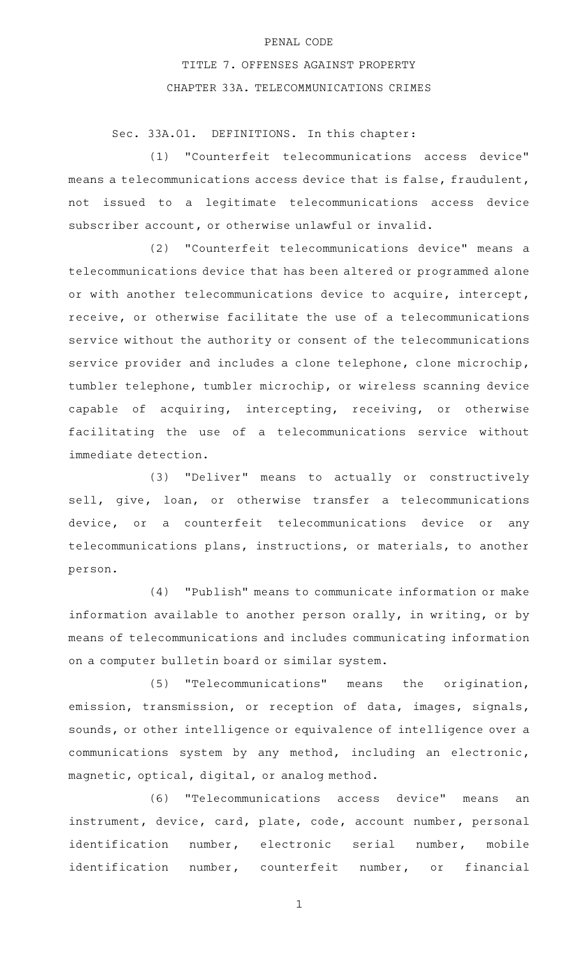## PENAL CODE

## TITLE 7. OFFENSES AGAINST PROPERTY CHAPTER 33A. TELECOMMUNICATIONS CRIMES

Sec. 33A.01. DEFINITIONS. In this chapter:

(1) "Counterfeit telecommunications access device" means a telecommunications access device that is false, fraudulent, not issued to a legitimate telecommunications access device subscriber account, or otherwise unlawful or invalid.

(2) "Counterfeit telecommunications device" means a telecommunications device that has been altered or programmed alone or with another telecommunications device to acquire, intercept, receive, or otherwise facilitate the use of a telecommunications service without the authority or consent of the telecommunications service provider and includes a clone telephone, clone microchip, tumbler telephone, tumbler microchip, or wireless scanning device capable of acquiring, intercepting, receiving, or otherwise facilitating the use of a telecommunications service without immediate detection.

(3) "Deliver" means to actually or constructively sell, give, loan, or otherwise transfer a telecommunications device, or a counterfeit telecommunications device or any telecommunications plans, instructions, or materials, to another person.

(4) "Publish" means to communicate information or make information available to another person orally, in writing, or by means of telecommunications and includes communicating information on a computer bulletin board or similar system.

(5) "Telecommunications" means the origination, emission, transmission, or reception of data, images, signals, sounds, or other intelligence or equivalence of intelligence over a communications system by any method, including an electronic, magnetic, optical, digital, or analog method.

(6) "Telecommunications access device" means an instrument, device, card, plate, code, account number, personal identification number, electronic serial number, mobile identification number, counterfeit number, or financial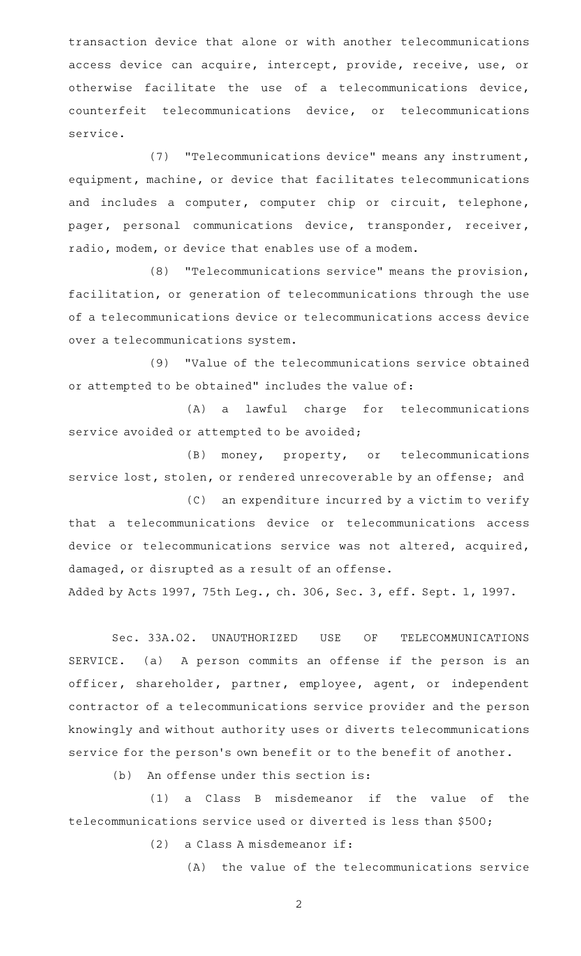transaction device that alone or with another telecommunications access device can acquire, intercept, provide, receive, use, or otherwise facilitate the use of a telecommunications device, counterfeit telecommunications device, or telecommunications service.

(7) "Telecommunications device" means any instrument, equipment, machine, or device that facilitates telecommunications and includes a computer, computer chip or circuit, telephone, pager, personal communications device, transponder, receiver, radio, modem, or device that enables use of a modem.

(8) "Telecommunications service" means the provision, facilitation, or generation of telecommunications through the use of a telecommunications device or telecommunications access device over a telecommunications system.

(9) "Value of the telecommunications service obtained or attempted to be obtained" includes the value of:

(A) a lawful charge for telecommunications service avoided or attempted to be avoided;

(B) money, property, or telecommunications service lost, stolen, or rendered unrecoverable by an offense; and

(C) an expenditure incurred by a victim to verify that a telecommunications device or telecommunications access device or telecommunications service was not altered, acquired, damaged, or disrupted as a result of an offense.

Added by Acts 1997, 75th Leg., ch. 306, Sec. 3, eff. Sept. 1, 1997.

Sec. 33A.02. UNAUTHORIZED USE OF TELECOMMUNICATIONS SERVICE. (a) A person commits an offense if the person is an officer, shareholder, partner, employee, agent, or independent contractor of a telecommunications service provider and the person knowingly and without authority uses or diverts telecommunications service for the person's own benefit or to the benefit of another.

 $(b)$  An offense under this section is:

 $(1)$  a Class B misdemeanor if the value of the telecommunications service used or diverted is less than \$500;

 $(2)$  a Class A misdemeanor if:

(A) the value of the telecommunications service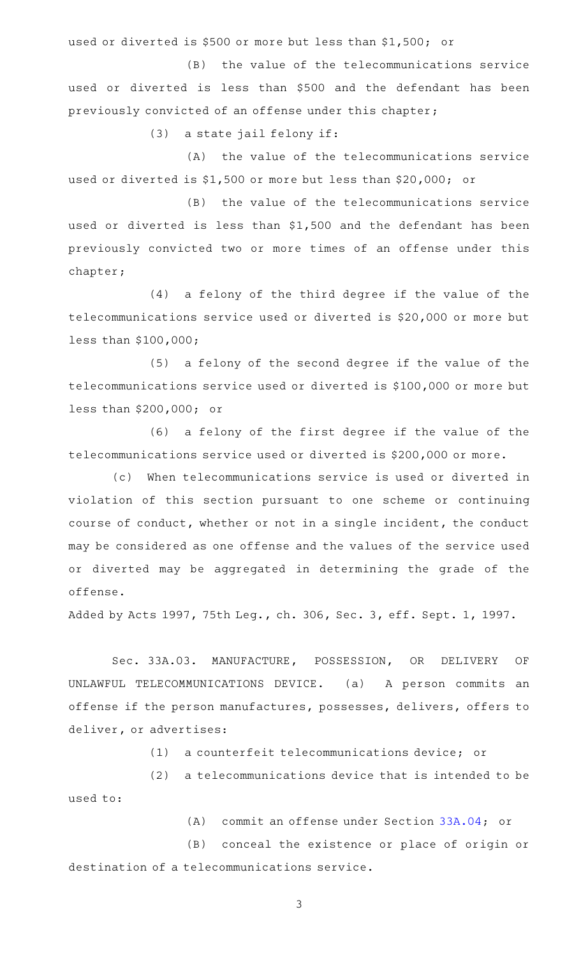used or diverted is \$500 or more but less than \$1,500; or

(B) the value of the telecommunications service used or diverted is less than \$500 and the defendant has been previously convicted of an offense under this chapter;

 $(3)$  a state jail felony if:

(A) the value of the telecommunications service used or diverted is \$1,500 or more but less than \$20,000; or

(B) the value of the telecommunications service used or diverted is less than \$1,500 and the defendant has been previously convicted two or more times of an offense under this chapter;

(4) a felony of the third degree if the value of the telecommunications service used or diverted is \$20,000 or more but less than \$100,000;

 $(5)$  a felony of the second degree if the value of the telecommunications service used or diverted is \$100,000 or more but less than \$200,000; or

 $(6)$  a felony of the first degree if the value of the telecommunications service used or diverted is \$200,000 or more.

(c) When telecommunications service is used or diverted in violation of this section pursuant to one scheme or continuing course of conduct, whether or not in a single incident, the conduct may be considered as one offense and the values of the service used or diverted may be aggregated in determining the grade of the offense.

Added by Acts 1997, 75th Leg., ch. 306, Sec. 3, eff. Sept. 1, 1997.

Sec. 33A.03. MANUFACTURE, POSSESSION, OR DELIVERY OF UNLAWFUL TELECOMMUNICATIONS DEVICE. (a) A person commits an offense if the person manufactures, possesses, delivers, offers to deliver, or advertises:

(1) a counterfeit telecommunications device; or

 $(2)$  a telecommunications device that is intended to be used to:

(A) commit an offense under Section  $33A.04$ ; or

(B) conceal the existence or place of origin or destination of a telecommunications service.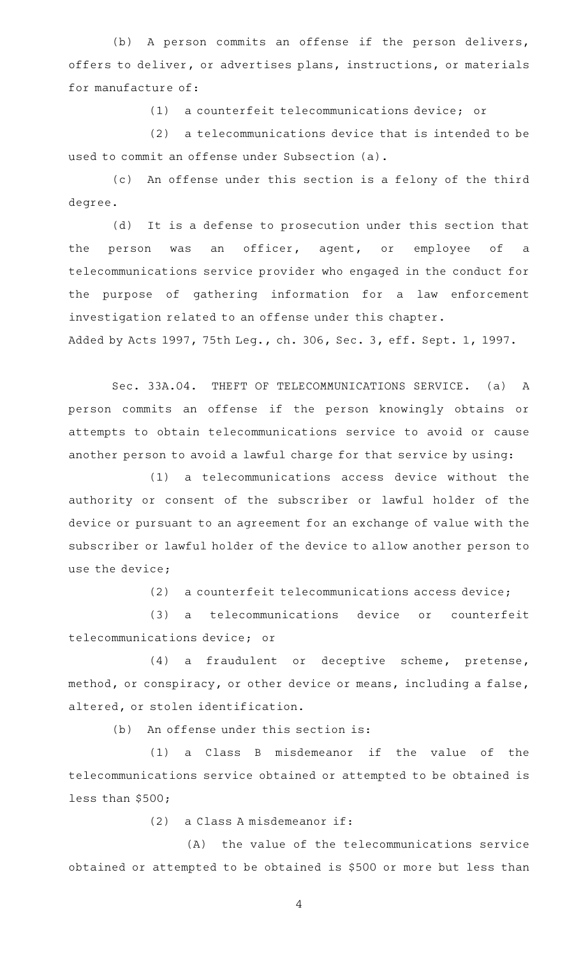(b) A person commits an offense if the person delivers, offers to deliver, or advertises plans, instructions, or materials for manufacture of:

(1) a counterfeit telecommunications device; or

 $(2)$  a telecommunications device that is intended to be used to commit an offense under Subsection (a).

(c) An offense under this section is a felony of the third degree.

(d) It is a defense to prosecution under this section that the person was an officer, agent, or employee of a telecommunications service provider who engaged in the conduct for the purpose of gathering information for a law enforcement investigation related to an offense under this chapter. Added by Acts 1997, 75th Leg., ch. 306, Sec. 3, eff. Sept. 1, 1997.

Sec. 33A.04. THEFT OF TELECOMMUNICATIONS SERVICE. (a) A person commits an offense if the person knowingly obtains or attempts to obtain telecommunications service to avoid or cause another person to avoid a lawful charge for that service by using:

(1) a telecommunications access device without the authority or consent of the subscriber or lawful holder of the device or pursuant to an agreement for an exchange of value with the subscriber or lawful holder of the device to allow another person to use the device;

 $(2)$  a counterfeit telecommunications access device;

(3) a telecommunications device or counterfeit telecommunications device; or

(4) a fraudulent or deceptive scheme, pretense, method, or conspiracy, or other device or means, including a false, altered, or stolen identification.

 $(b)$  An offense under this section is:

(1) a Class B misdemeanor if the value of the telecommunications service obtained or attempted to be obtained is less than \$500;

 $(2)$  a Class A misdemeanor if:

 $(A)$  the value of the telecommunications service obtained or attempted to be obtained is \$500 or more but less than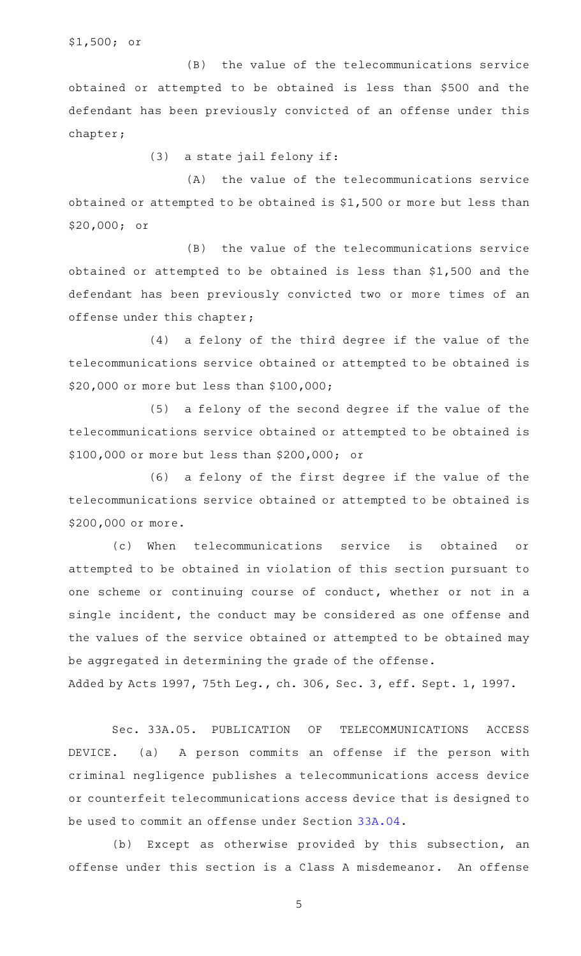\$1,500; or

(B) the value of the telecommunications service obtained or attempted to be obtained is less than \$500 and the defendant has been previously convicted of an offense under this chapter;

 $(3)$  a state jail felony if:

 $(A)$  the value of the telecommunications service obtained or attempted to be obtained is \$1,500 or more but less than \$20,000; or

(B) the value of the telecommunications service obtained or attempted to be obtained is less than \$1,500 and the defendant has been previously convicted two or more times of an offense under this chapter;

(4) a felony of the third degree if the value of the telecommunications service obtained or attempted to be obtained is \$20,000 or more but less than \$100,000;

(5) a felony of the second degree if the value of the telecommunications service obtained or attempted to be obtained is \$100,000 or more but less than \$200,000; or

 $(6)$  a felony of the first degree if the value of the telecommunications service obtained or attempted to be obtained is \$200,000 or more.

(c) When telecommunications service is obtained or attempted to be obtained in violation of this section pursuant to one scheme or continuing course of conduct, whether or not in a single incident, the conduct may be considered as one offense and the values of the service obtained or attempted to be obtained may be aggregated in determining the grade of the offense.

Added by Acts 1997, 75th Leg., ch. 306, Sec. 3, eff. Sept. 1, 1997.

Sec. 33A.05. PUBLICATION OF TELECOMMUNICATIONS ACCESS DEVICE. (a) A person commits an offense if the person with criminal negligence publishes a telecommunications access device or counterfeit telecommunications access device that is designed to be used to commit an offense under Section [33A.04.](http://www.statutes.legis.state.tx.us/GetStatute.aspx?Code=PE&Value=33A.04)

(b) Except as otherwise provided by this subsection, an offense under this section is a Class A misdemeanor. An offense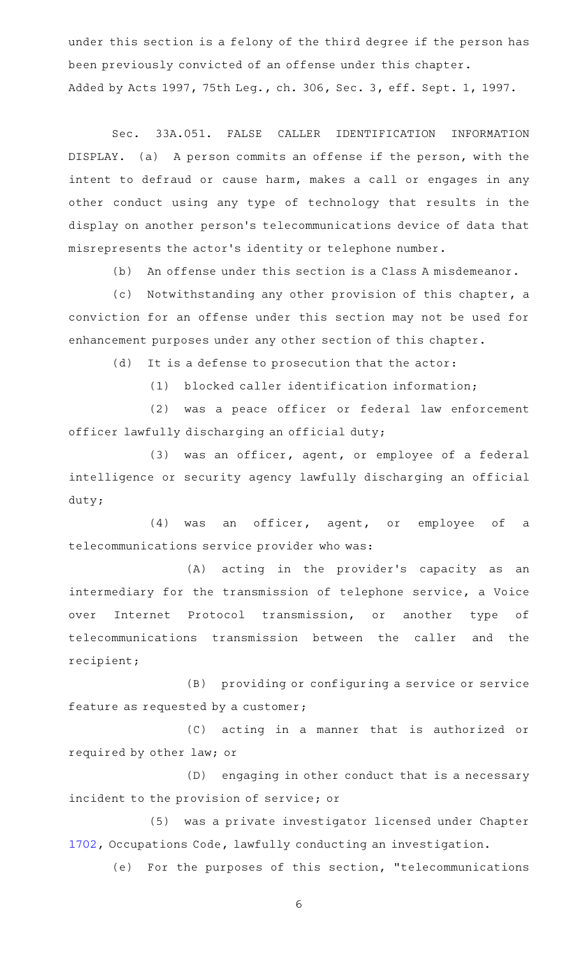under this section is a felony of the third degree if the person has been previously convicted of an offense under this chapter. Added by Acts 1997, 75th Leg., ch. 306, Sec. 3, eff. Sept. 1, 1997.

Sec. 33A.051. FALSE CALLER IDENTIFICATION INFORMATION DISPLAY. (a) A person commits an offense if the person, with the intent to defraud or cause harm, makes a call or engages in any other conduct using any type of technology that results in the display on another person 's telecommunications device of data that misrepresents the actor 's identity or telephone number.

(b) An offense under this section is a Class A misdemeanor.

(c) Notwithstanding any other provision of this chapter, a conviction for an offense under this section may not be used for enhancement purposes under any other section of this chapter.

(d) It is a defense to prosecution that the actor:

 $(1)$  blocked caller identification information;

(2) was a peace officer or federal law enforcement officer lawfully discharging an official duty;

(3) was an officer, agent, or employee of a federal intelligence or security agency lawfully discharging an official duty;

(4) was an officer, agent, or employee of a telecommunications service provider who was:

(A) acting in the provider's capacity as an intermediary for the transmission of telephone service, a Voice over Internet Protocol transmission, or another type of telecommunications transmission between the caller and the recipient;

(B) providing or configuring a service or service feature as requested by a customer;

(C) acting in a manner that is authorized or required by other law; or

(D) engaging in other conduct that is a necessary incident to the provision of service; or

(5) was a private investigator licensed under Chapter [1702](http://www.statutes.legis.state.tx.us/GetStatute.aspx?Code=OC&Value=1702), Occupations Code, lawfully conducting an investigation.

(e) For the purposes of this section, "telecommunications